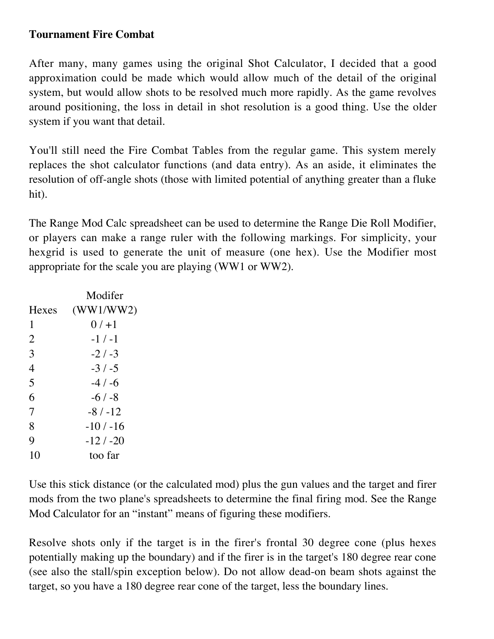## **Tournament Fire Combat**

After many, many games using the original Shot Calculator, I decided that a good approximation could be made which would allow much of the detail of the original system, but would allow shots to be resolved much more rapidly. As the game revolves around positioning, the loss in detail in shot resolution is a good thing. Use the older system if you want that detail.

You'll still need the Fire Combat Tables from the regular game. This system merely replaces the shot calculator functions (and data entry). As an aside, it eliminates the resolution of off-angle shots (those with limited potential of anything greater than a fluke hit).

The Range Mod Calc spreadsheet can be used to determine the Range Die Roll Modifier, or players can make a range ruler with the following markings. For simplicity, your hexgrid is used to generate the unit of measure (one hex). Use the Modifier most appropriate for the scale you are playing (WW1 or WW2).

|                | Modifer    |
|----------------|------------|
| Hexes          | (WW1/WW2)  |
| 1              | $0/1 + 1$  |
| $\overline{2}$ | $-1/ -1$   |
| 3              | $-2/3$     |
| 4              | $-3/ -5$   |
| 5              | $-4/ -6$   |
| 6              | $-6/ -8$   |
| 7              | $-8/ -12$  |
| 8              | $-10/ -16$ |
| 9              | $-12/ -20$ |
| 10             | too far    |
|                |            |

Use this stick distance (or the calculated mod) plus the gun values and the target and firer mods from the two plane's spreadsheets to determine the final firing mod. See the Range Mod Calculator for an "instant" means of figuring these modifiers.

Resolve shots only if the target is in the firer's frontal 30 degree cone (plus hexes potentially making up the boundary) and if the firer is in the target's 180 degree rear cone (see also the stall/spin exception below). Do not allow dead-on beam shots against the target, so you have a 180 degree rear cone of the target, less the boundary lines.